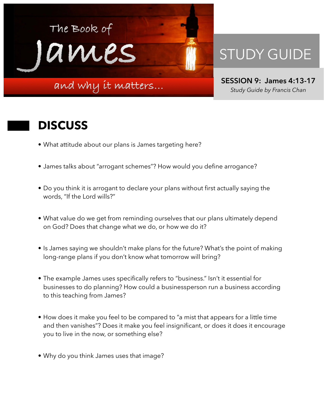

## STUDY GUIDE

**SESSION 9: James 4:13-17**  *Study Guide by Francis Chan*

## **DISCUSS**

- What attitude about our plans is James targeting here?
- James talks about "arrogant schemes"? How would you define arrogance?
- Do you think it is arrogant to declare your plans without first actually saying the words, "If the Lord wills?"
- What value do we get from reminding ourselves that our plans ultimately depend on God? Does that change what we do, or how we do it?
- Is James saying we shouldn't make plans for the future? What's the point of making long-range plans if you don't know what tomorrow will bring?
- The example James uses specifically refers to "business." Isn't it essential for businesses to do planning? How could a businessperson run a business according to this teaching from James?
- How does it make you feel to be compared to "a mist that appears for a little time and then vanishes"? Does it make you feel insignificant, or does it does it encourage you to live in the now, or something else?
- Why do you think James uses that image?